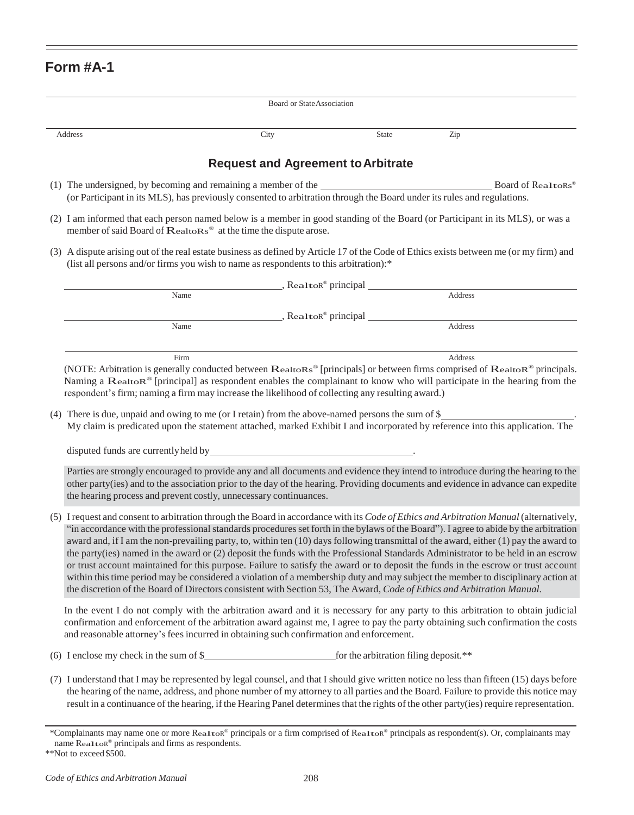## **Form #A-1**

| Board or State Association                                                                                                                                                                                                                                                                                                                                                                                                                                                                                                                                                                                           |                                                                                                                                                                                                                                                                                                                                                                                                                                                                                                                                                                                                                                                                                                                                                                                                                                                                                                                                                                 |  |  |  |
|----------------------------------------------------------------------------------------------------------------------------------------------------------------------------------------------------------------------------------------------------------------------------------------------------------------------------------------------------------------------------------------------------------------------------------------------------------------------------------------------------------------------------------------------------------------------------------------------------------------------|-----------------------------------------------------------------------------------------------------------------------------------------------------------------------------------------------------------------------------------------------------------------------------------------------------------------------------------------------------------------------------------------------------------------------------------------------------------------------------------------------------------------------------------------------------------------------------------------------------------------------------------------------------------------------------------------------------------------------------------------------------------------------------------------------------------------------------------------------------------------------------------------------------------------------------------------------------------------|--|--|--|
|                                                                                                                                                                                                                                                                                                                                                                                                                                                                                                                                                                                                                      | City<br>Zip<br>Address<br>State                                                                                                                                                                                                                                                                                                                                                                                                                                                                                                                                                                                                                                                                                                                                                                                                                                                                                                                                 |  |  |  |
| <b>Request and Agreement to Arbitrate</b>                                                                                                                                                                                                                                                                                                                                                                                                                                                                                                                                                                            |                                                                                                                                                                                                                                                                                                                                                                                                                                                                                                                                                                                                                                                                                                                                                                                                                                                                                                                                                                 |  |  |  |
|                                                                                                                                                                                                                                                                                                                                                                                                                                                                                                                                                                                                                      | (1) The undersigned, by becoming and remaining a member of the<br>Board of RealtoRs®<br>(or Participant in its MLS), has previously consented to arbitration through the Board under its rules and regulations.                                                                                                                                                                                                                                                                                                                                                                                                                                                                                                                                                                                                                                                                                                                                                 |  |  |  |
|                                                                                                                                                                                                                                                                                                                                                                                                                                                                                                                                                                                                                      | (2) I am informed that each person named below is a member in good standing of the Board (or Participant in its MLS), or was a<br>member of said Board of RealtoRs® at the time the dispute arose.                                                                                                                                                                                                                                                                                                                                                                                                                                                                                                                                                                                                                                                                                                                                                              |  |  |  |
|                                                                                                                                                                                                                                                                                                                                                                                                                                                                                                                                                                                                                      | (3) A dispute arising out of the real estate business as defined by Article 17 of the Code of Ethics exists between me (or my firm) and<br>(list all persons and/or firms you wish to name as respondents to this arbitration):*                                                                                                                                                                                                                                                                                                                                                                                                                                                                                                                                                                                                                                                                                                                                |  |  |  |
|                                                                                                                                                                                                                                                                                                                                                                                                                                                                                                                                                                                                                      | _, Rea1toR® principal _______________                                                                                                                                                                                                                                                                                                                                                                                                                                                                                                                                                                                                                                                                                                                                                                                                                                                                                                                           |  |  |  |
|                                                                                                                                                                                                                                                                                                                                                                                                                                                                                                                                                                                                                      | Address<br>Name                                                                                                                                                                                                                                                                                                                                                                                                                                                                                                                                                                                                                                                                                                                                                                                                                                                                                                                                                 |  |  |  |
| _, Rea1toR® principal _________                                                                                                                                                                                                                                                                                                                                                                                                                                                                                                                                                                                      |                                                                                                                                                                                                                                                                                                                                                                                                                                                                                                                                                                                                                                                                                                                                                                                                                                                                                                                                                                 |  |  |  |
|                                                                                                                                                                                                                                                                                                                                                                                                                                                                                                                                                                                                                      | Address<br>Name                                                                                                                                                                                                                                                                                                                                                                                                                                                                                                                                                                                                                                                                                                                                                                                                                                                                                                                                                 |  |  |  |
| Firm<br>Address<br>(NOTE: Arbitration is generally conducted between RealtoRs® [principals] or between firms comprised of RealtoR® principals.<br>Naming a Realtor® [principal] as respondent enables the complainant to know who will participate in the hearing from the<br>respondent's firm; naming a firm may increase the likelihood of collecting any resulting award.)<br>(4) There is due, unpaid and owing to me (or I retain) from the above-named persons the sum of \$<br>My claim is predicated upon the statement attached, marked Exhibit I and incorporated by reference into this application. The |                                                                                                                                                                                                                                                                                                                                                                                                                                                                                                                                                                                                                                                                                                                                                                                                                                                                                                                                                                 |  |  |  |
|                                                                                                                                                                                                                                                                                                                                                                                                                                                                                                                                                                                                                      | Parties are strongly encouraged to provide any and all documents and evidence they intend to introduce during the hearing to the<br>other party(ies) and to the association prior to the day of the hearing. Providing documents and evidence in advance can expedite<br>the hearing process and prevent costly, unnecessary continuances.                                                                                                                                                                                                                                                                                                                                                                                                                                                                                                                                                                                                                      |  |  |  |
|                                                                                                                                                                                                                                                                                                                                                                                                                                                                                                                                                                                                                      | (5) I request and consent to arbitration through the Board in accordance with its Code of Ethics and Arbitration Manual (alternatively,<br>"in accordance with the professional standards procedures set forth in the bylaws of the Board"). I agree to abide by the arbitration<br>award and, if I am the non-prevailing party, to, within ten (10) days following transmittal of the award, either (1) pay the award to<br>the party(ies) named in the award or (2) deposit the funds with the Professional Standards Administrator to be held in an escrow<br>or trust account maintained for this purpose. Failure to satisfy the award or to deposit the funds in the escrow or trust account<br>within this time period may be considered a violation of a membership duty and may subject the member to disciplinary action at<br>the discretion of the Board of Directors consistent with Section 53, The Award, Code of Ethics and Arbitration Manual. |  |  |  |
|                                                                                                                                                                                                                                                                                                                                                                                                                                                                                                                                                                                                                      | In the event I do not comply with the arbitration award and it is necessary for any party to this arbitration to obtain judicial<br>confirmation and enforcement of the arbitration award against me, I agree to pay the party obtaining such confirmation the costs<br>and reasonable attorney's fees incurred in obtaining such confirmation and enforcement.                                                                                                                                                                                                                                                                                                                                                                                                                                                                                                                                                                                                 |  |  |  |
|                                                                                                                                                                                                                                                                                                                                                                                                                                                                                                                                                                                                                      |                                                                                                                                                                                                                                                                                                                                                                                                                                                                                                                                                                                                                                                                                                                                                                                                                                                                                                                                                                 |  |  |  |
|                                                                                                                                                                                                                                                                                                                                                                                                                                                                                                                                                                                                                      | (7) I understand that I may be represented by legal counsel, and that I should give written notice no less than fifteen (15) days before<br>the hearing of the name, address, and phone number of my attorney to all parties and the Board. Failure to provide this notice may<br>result in a continuance of the hearing, if the Hearing Panel determines that the rights of the other party(ies) require representation.                                                                                                                                                                                                                                                                                                                                                                                                                                                                                                                                       |  |  |  |
|                                                                                                                                                                                                                                                                                                                                                                                                                                                                                                                                                                                                                      | *Complainants may name one or more Realtor® principals or a firm comprised of Realtor® principals as respondent(s). Or, complainants may                                                                                                                                                                                                                                                                                                                                                                                                                                                                                                                                                                                                                                                                                                                                                                                                                        |  |  |  |

name <sup>R</sup>ealtoR ® principals and firms as respondents.

<sup>\*\*</sup>Not to exceed\$500.